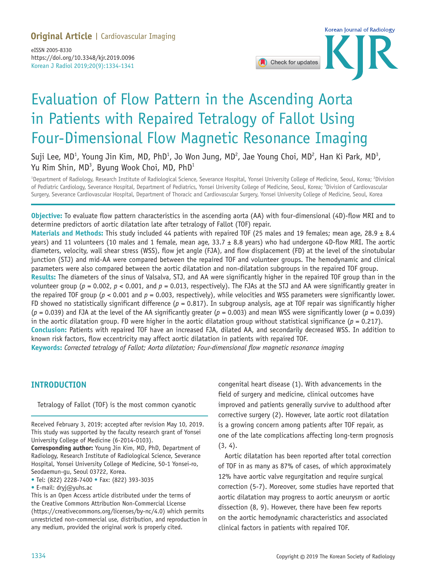# **Original Article |** Cardiovascular Imaging

Korean J Radiol 2019;20(9):1334-1341 eISSN 2005-8330 https://doi.org/10.3348/kjr.2019.0096



# Evaluation of Flow Pattern in the Ascending Aorta in Patients with Repaired Tetralogy of Fallot Using Four-Dimensional Flow Magnetic Resonance Imaging

Suji Lee, MD<sup>1</sup>, Young Jin Kim, MD, PhD<sup>1</sup>, Jo Won Jung, MD<sup>2</sup>, Jae Young Choi, MD<sup>2</sup>, Han Ki Park, MD<sup>3</sup>, Yu Rim Shin, MD $^3$ , Byung Wook Choi, MD, PhD $^1$ 

<sup>1</sup>Department of Radiology, Research Institute of Radiological Science, Severance Hospital, Yonsei University College of Medicine, Seoul, Korea; <sup>2</sup>Division of Pediatric Cardiology, Severance Hospital, Department of Pediatrics, Yonsei University College of Medicine, Seoul, Korea; <sup>3</sup>Division of Cardiovascular Surgery, Severance Cardiovascular Hospital, Department of Thoracic and Cardiovascular Surgery, Yonsei University College of Medicine, Seoul, Korea

**Objective:** To evaluate flow pattern characteristics in the ascending aorta (AA) with four-dimensional (4D)-flow MRI and to determine predictors of aortic dilatation late after tetralogy of Fallot (TOF) repair.

**Materials and Methods:** This study included 44 patients with repaired TOF (25 males and 19 females; mean age, 28.9 ± 8.4 years) and 11 volunteers (10 males and 1 female, mean age,  $33.7 \pm 8.8$  years) who had undergone 4D-flow MRI. The aortic diameters, velocity, wall shear stress (WSS), flow jet angle (FJA), and flow displacement (FD) at the level of the sinotubular junction (STJ) and mid-AA were compared between the repaired TOF and volunteer groups. The hemodynamic and clinical parameters were also compared between the aortic dilatation and non-dilatation subgroups in the repaired TOF group.

**Results:** The diameters of the sinus of Valsalva, STJ, and AA were significantly higher in the repaired TOF group than in the volunteer group ( $p = 0.002$ ,  $p < 0.001$ , and  $p = 0.013$ , respectively). The FJAs at the STJ and AA were significantly greater in the repaired TOF group (*p* < 0.001 and *p* = 0.003, respectively), while velocities and WSS parameters were significantly lower. FD showed no statistically significant difference ( $p = 0.817$ ). In subgroup analysis, age at TOF repair was significantly higher  $(p = 0.039)$  and FJA at the level of the AA significantly greater  $(p = 0.003)$  and mean WSS were significantly lower  $(p = 0.039)$ in the aortic dilatation group. FD were higher in the aortic dilatation group without statistical significance  $(p = 0.217)$ . **Conclusion:** Patients with repaired TOF have an increased FJA, dilated AA, and secondarily decreased WSS. In addition to

known risk factors, flow eccentricity may affect aortic dilatation in patients with repaired TOF.

**Keywords:** *Corrected tetralogy of Fallot; Aorta dilatation; Four-dimensional flow magnetic resonance imaging*

## **INTRODUCTION**

Tetralogy of Fallot (TOF) is the most common cyanotic

Received February 3, 2019; accepted after revision May 10, 2019. This study was supported by the faculty research grant of Yonsei University College of Medicine (6-2014-0103).

**Corresponding author:** Young Jin Kim, MD, PhD, Department of Radiology, Research Institute of Radiological Science, Severance Hospital, Yonsei University College of Medicine, 50-1 Yonsei-ro, Seodaemun-gu, Seoul 03722, Korea.

• Tel: (822) 2228-7400 • Fax: (822) 393-3035

• E-mail: dryj@yuhs.ac

This is an Open Access article distributed under the terms of the Creative Commons Attribution Non-Commercial License (https://creativecommons.org/licenses/by-nc/4.0) which permits unrestricted non-commercial use, distribution, and reproduction in any medium, provided the original work is properly cited.

congenital heart disease (1). With advancements in the field of surgery and medicine, clinical outcomes have improved and patients generally survive to adulthood after corrective surgery (2). However, late aortic root dilatation is a growing concern among patients after TOF repair, as one of the late complications affecting long-term prognosis (3, 4).

Aortic dilatation has been reported after total correction of TOF in as many as 87% of cases, of which approximately 12% have aortic valve regurgitation and require surgical correction (5-7). Moreover, some studies have reported that aortic dilatation may progress to aortic aneurysm or aortic dissection (8, 9). However, there have been few reports on the aortic hemodynamic characteristics and associated clinical factors in patients with repaired TOF.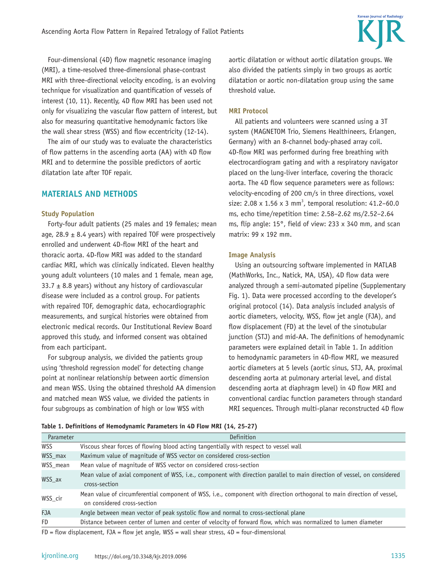Four-dimensional (4D) flow magnetic resonance imaging (MRI), a time-resolved three-dimensional phase-contrast MRI with three-directional velocity encoding, is an evolving technique for visualization and quantification of vessels of interest (10, 11). Recently, 4D flow MRI has been used not only for visualizing the vascular flow pattern of interest, but also for measuring quantitative hemodynamic factors like the wall shear stress (WSS) and flow eccentricity (12-14).

The aim of our study was to evaluate the characteristics of flow patterns in the ascending aorta (AA) with 4D flow MRI and to determine the possible predictors of aortic dilatation late after TOF repair.

# **MATERIALS AND METHODS**

#### **Study Population**

Forty-four adult patients (25 males and 19 females; mean age, 28.9  $\pm$  8.4 years) with repaired TOF were prospectively enrolled and underwent 4D-flow MRI of the heart and thoracic aorta. 4D-flow MRI was added to the standard cardiac MRI, which was clinically indicated. Eleven healthy young adult volunteers (10 males and 1 female, mean age, 33.7  $\pm$  8.8 years) without any history of cardiovascular disease were included as a control group. For patients with repaired TOF, demographic data, echocardiographic measurements, and surgical histories were obtained from electronic medical records. Our Institutional Review Board approved this study, and informed consent was obtained from each participant.

For subgroup analysis, we divided the patients group using 'threshold regression model' for detecting change point at nonlinear relationship between aortic dimension and mean WSS. Using the obtained threshold AA dimension and matched mean WSS value, we divided the patients in four subgroups as combination of high or low WSS with

aortic dilatation or without aortic dilatation groups. We also divided the patients simply in two groups as aortic dilatation or aortic non-dilatation group using the same threshold value.

#### **MRI Protocol**

All patients and volunteers were scanned using a 3T system (MAGNETOM Trio, Siemens Healthineers, Erlangen, Germany) with an 8-channel body-phased array coil. 4D-flow MRI was performed during free breathing with electrocardiogram gating and with a respiratory navigator placed on the lung-liver interface, covering the thoracic aorta. The 4D flow sequence parameters were as follows: velocity-encoding of 200 cm/s in three directions, voxel size: 2.08  $\times$  1.56  $\times$  3 mm<sup>3</sup>, temporal resolution: 41.2-60.0 ms, echo time/repetition time: 2.58–2.62 ms/2.52–2.64 ms, flip angle: 15°, field of view: 233 x 340 mm, and scan matrix: 99 x 192 mm.

#### **Image Analysis**

Using an outsourcing software implemented in MATLAB (MathWorks, Inc., Natick, MA, USA), 4D flow data were analyzed through a semi-automated pipeline (Supplementary Fig. 1). Data were processed according to the developer's original protocol (14). Data analysis included analysis of aortic diameters, velocity, WSS, flow jet angle (FJA), and flow displacement (FD) at the level of the sinotubular junction (STJ) and mid-AA. The definitions of hemodynamic parameters were explained detail in Table 1. In addition to hemodynamic parameters in 4D-flow MRI, we measured aortic diameters at 5 levels (aortic sinus, STJ, AA, proximal descending aorta at pulmonary arterial level, and distal descending aorta at diaphragm level) in 4D flow MRI and conventional cardiac function parameters through standard MRI sequences. Through multi-planar reconstructed 4D flow

| Parameter                                                                                            | <b>Definition</b>                                                                                                                                     |  |  |  |  |
|------------------------------------------------------------------------------------------------------|-------------------------------------------------------------------------------------------------------------------------------------------------------|--|--|--|--|
| <b>WSS</b>                                                                                           | Viscous shear forces of flowing blood acting tangentially with respect to vessel wall                                                                 |  |  |  |  |
| WSS_max                                                                                              | Maximum value of magnitude of WSS vector on considered cross-section                                                                                  |  |  |  |  |
| WSS_mean                                                                                             | Mean value of magnitude of WSS vector on considered cross-section                                                                                     |  |  |  |  |
| WSS ax                                                                                               | Mean value of axial component of WSS, i.e., component with direction parallel to main direction of vessel, on considered<br>cross-section             |  |  |  |  |
| WSS_cir                                                                                              | Mean value of circumferential component of WSS, i.e., component with direction orthogonal to main direction of vessel,<br>on considered cross-section |  |  |  |  |
| <b>FJA</b>                                                                                           | Angle between mean vector of peak systolic flow and normal to cross-sectional plane                                                                   |  |  |  |  |
| FD.                                                                                                  | Distance between center of lumen and center of velocity of forward flow, which was normalized to lumen diameter                                       |  |  |  |  |
| $FD = flow$ displacement, $FJA = flow$ jet angle, $WSS = wall$ shear stress, $4D = four-dimensional$ |                                                                                                                                                       |  |  |  |  |

|  |  | Table 1. Definitions of Hemodynamic Parameters in 4D Flow MRI (14, 25-27) |  |  |  |  |  |
|--|--|---------------------------------------------------------------------------|--|--|--|--|--|
|--|--|---------------------------------------------------------------------------|--|--|--|--|--|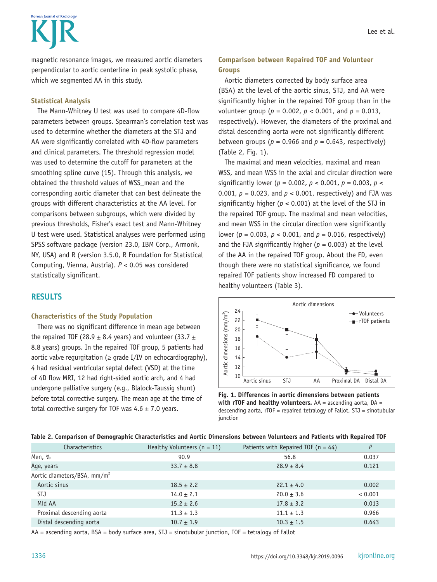# Korean Journal of Radiology

magnetic resonance images, we measured aortic diameters perpendicular to aortic centerline in peak systolic phase, which we segmented AA in this study.

## **Statistical Analysis**

The Mann-Whitney U test was used to compare 4D-flow parameters between groups. Spearman's correlation test was used to determine whether the diameters at the STJ and AA were significantly correlated with 4D-flow parameters and clinical parameters. The threshold regression model was used to determine the cutoff for parameters at the smoothing spline curve (15). Through this analysis, we obtained the threshold values of WSS\_mean and the corresponding aortic diameter that can best delineate the groups with different characteristics at the AA level. For comparisons between subgroups, which were divided by previous thresholds, Fisher's exact test and Mann-Whitney U test were used. Statistical analyses were performed using SPSS software package (version 23.0, IBM Corp., Armonk, NY, USA) and R (version 3.5.0, R Foundation for Statistical Computing, Vienna, Austria). *P* < 0.05 was considered statistically significant.

# **RESULTS**

## **Characteristics of the Study Population**

There was no significant difference in mean age between the repaired TOF (28.9  $\pm$  8.4 years) and volunteer (33.7  $\pm$ 8.8 years) groups. In the repaired TOF group, 5 patients had aortic valve regurgitation ( $\geq$  grade I/IV on echocardiography), 4 had residual ventricular septal defect (VSD) at the time of 4D flow MRI, 12 had right-sided aortic arch, and 4 had undergone palliative surgery (e.g., Blalock-Taussig shunt) before total corrective surgery. The mean age at the time of total corrective surgery for TOF was  $4.6 \pm 7.0$  years.

# **Comparison between Repaired TOF and Volunteer Groups**

Aortic diameters corrected by body surface area (BSA) at the level of the aortic sinus, STJ, and AA were significantly higher in the repaired TOF group than in the volunteer group (*p* = 0.002, *p* < 0.001, and *p* = 0.013, respectively). However, the diameters of the proximal and distal descending aorta were not significantly different between groups ( $p = 0.966$  and  $p = 0.643$ , respectively) (Table 2, Fig. 1).

The maximal and mean velocities, maximal and mean WSS, and mean WSS in the axial and circular direction were significantly lower ( $p = 0.002$ ,  $p < 0.001$ ,  $p = 0.003$ ,  $p <$ 0.001, *p* = 0.023, and *p* < 0.001, respectively) and FJA was significantly higher (*p* < 0.001) at the level of the STJ in the repaired TOF group. The maximal and mean velocities, and mean WSS in the circular direction were significantly lower ( $p = 0.003$ ,  $p < 0.001$ , and  $p = 0.016$ , respectively) and the FJA significantly higher  $(p = 0.003)$  at the level of the AA in the repaired TOF group. About the FD, even though there were no statistical significance, we found repaired TOF patients show increased FD compared to healthy volunteers (Table 3).



**Fig. 1. Differences in aortic dimensions between patients with rTOF and healthy volunteers.** AA = ascending aorta, DA = descending aorta, rTOF = repaired tetralogy of Fallot, STJ = sinotubular junction

|  |  |  |  | Table 2. Comparison of Demographic Characteristics and Aortic Dimensions between Volunteers and Patients with Repaired TOF |  |
|--|--|--|--|----------------------------------------------------------------------------------------------------------------------------|--|
|--|--|--|--|----------------------------------------------------------------------------------------------------------------------------|--|

| <b>Characteristics</b>                  | Healthy Volunteers ( $n = 11$ ) | Patients with Repaired TOF $(n = 44)$ | P       |
|-----------------------------------------|---------------------------------|---------------------------------------|---------|
| Men, %                                  | 90.9                            | 56.8                                  | 0.037   |
| Age, years                              | $33.7 \pm 8.8$                  | $28.9 \pm 8.4$                        | 0.121   |
| Aortic diameters/BSA, mm/m <sup>2</sup> |                                 |                                       |         |
| Aortic sinus                            | $18.5 \pm 2.2$                  | $22.1 \pm 4.0$                        | 0.002   |
| STJ                                     | $14.0 \pm 2.1$                  | $20.0 \pm 3.6$                        | < 0.001 |
| Mid AA                                  | $15.2 \pm 2.6$                  | $17.8 \pm 3.2$                        | 0.013   |
| Proximal descending aorta               | $11.3 \pm 1.3$                  | $11.1 \pm 1.3$                        | 0.966   |
| Distal descending aorta                 | $10.7 \pm 1.9$                  | $10.3 \pm 1.5$                        | 0.643   |

AA = ascending aorta, BSA = body surface area, STJ = sinotubular junction, TOF = tetralogy of Fallot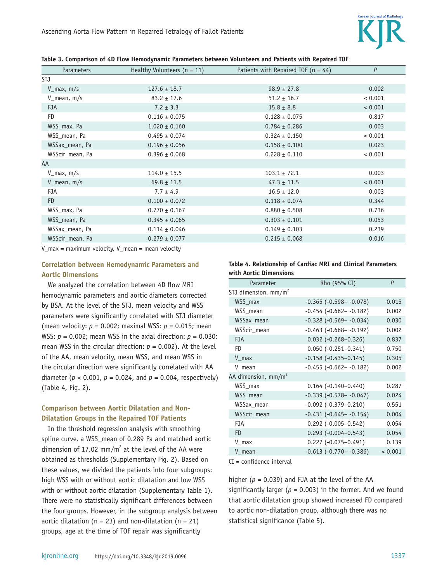

| <b>Parameters</b>       | Healthy Volunteers $(n = 11)$ | Patients with Repaired TOF ( $n = 44$ ) | P       |
|-------------------------|-------------------------------|-----------------------------------------|---------|
| STJ                     |                               |                                         |         |
| $V_{max, m/s}$          | $127.6 \pm 18.7$              | $98.9 \pm 27.8$                         | 0.002   |
| $V_{\text{mean}}$ , m/s | $83.2 \pm 17.6$               | $51.2 \pm 16.7$                         | < 0.001 |
| <b>FJA</b>              | $7.2 \pm 3.3$                 | $15.8 \pm 8.8$                          | < 0.001 |
| FD                      | $0.116 \pm 0.075$             | $0.128 \pm 0.075$                       | 0.817   |
| WSS_max, Pa             | $1.020 \pm 0.160$             | $0.784 \pm 0.286$                       | 0.003   |
| WSS mean, Pa            | $0.495 \pm 0.074$             | $0.324 \pm 0.150$                       | < 0.001 |
| WSSax_mean, Pa          | $0.196 \pm 0.056$             | $0.158 \pm 0.100$                       | 0.023   |
| WSScir_mean, Pa         | $0.396 \pm 0.068$             | $0.228 \pm 0.110$                       | < 0.001 |
| AA                      |                               |                                         |         |
| $V_{max, m/s}$          | $114.0 \pm 15.5$              | $103.1 \pm 72.1$                        | 0.003   |
| $V_{\text{mean}}$ , m/s | $69.8 \pm 11.5$               | $47.3 \pm 11.5$                         | < 0.001 |
| <b>FJA</b>              | $7.7 \pm 4.9$                 | $16.5 \pm 12.0$                         | 0.003   |
| FD                      | $0.100 \pm 0.072$             | $0.118 \pm 0.074$                       | 0.344   |
| WSS_max, Pa             | $0.770 \pm 0.167$             | $0.880 \pm 0.508$                       | 0.736   |
| WSS_mean, Pa            | $0.345 \pm 0.065$             | $0.303 \pm 0.101$                       | 0.053   |
| WSSax_mean, Pa          | $0.114 \pm 0.046$             | $0.149 \pm 0.103$                       | 0.239   |
| WSScir_mean, Pa         | $0.279 \pm 0.077$             | $0.215 \pm 0.068$                       | 0.016   |

**Table 3. Comparison of 4D Flow Hemodynamic Parameters between Volunteers and Patients with Repaired TOF**

 $V_{max}$  = maximum velocity,  $V_{max}$  = mean velocity

## **Correlation between Hemodynamic Parameters and Aortic Dimensions**

We analyzed the correlation between 4D flow MRI hemodynamic parameters and aortic diameters corrected by BSA. At the level of the STJ, mean velocity and WSS parameters were significantly correlated with STJ diameter (mean velocity: *p* = 0.002; maximal WSS: *p* = 0.015; mean WSS:  $p = 0.002$ ; mean WSS in the axial direction:  $p = 0.030$ ; mean WSS in the circular direction:  $p = 0.002$ ). At the level of the AA, mean velocity, mean WSS, and mean WSS in the circular direction were significantly correlated with AA diameter ( $p < 0.001$ ,  $p = 0.024$ , and  $p = 0.004$ , respectively) (Table 4, Fig. 2).

## **Comparison between Aortic Dilatation and Non-Dilatation Groups in the Repaired TOF Patients**

In the threshold regression analysis with smoothing spline curve, a WSS mean of 0.289 Pa and matched aortic dimension of 17.02 mm/m<sup>2</sup> at the level of the AA were obtained as thresholds (Supplementary Fig. 2). Based on these values, we divided the patients into four subgroups: high WSS with or without aortic dilatation and low WSS with or without aortic dilatation (Supplementary Table 1). There were no statistically significant differences between the four groups. However, in the subgroup analysis between aortic dilatation ( $n = 23$ ) and non-dilatation ( $n = 21$ ) groups, age at the time of TOF repair was significantly

| Table 4. Relationship of Cardiac MRI and Clinical Parameters |  |  |
|--------------------------------------------------------------|--|--|
| with Aortic Dimensions                                       |  |  |

| Parameter              | Rho (95% CI)                   | P       |
|------------------------|--------------------------------|---------|
| STJ dimension, $mm/m2$ |                                |         |
| WSS max                | $-0.365$ $(-0.598 - -0.078)$   | 0.015   |
| WSS mean               | $-0.454$ ( $-0.662 - -0.182$ ) | 0.002   |
| WSSax_mean             | $-0.328$ $(-0.569 - -0.034)$   | 0.030   |
| WSScir_mean            | $-0.463$ $(-0.668 - -0.192)$   | 0.002   |
| <b>FJA</b>             | $0.032$ ( $-0.268 - 0.326$ )   | 0.837   |
| FD                     | $0.050(-0.251-0.341)$          | 0.750   |
| V max                  | $-0.158$ $(-0.435-0.145)$      | 0.305   |
| V mean                 | $-0.455$ $(-0.662 - -0.182)$   | 0.002   |
| AA dimension, $mm/m2$  |                                |         |
| WSS_max                | $0.164$ ( $-0.140 - 0.440$ )   | 0.287   |
| WSS mean               | $-0.339$ $(-0.578 - -0.047)$   | 0.024   |
| WSSax_mean             | $-0.092$ $(-0.379 - 0.210)$    | 0.551   |
| WSScir mean            | $-0.431$ $(-0.645 - -0.154)$   | 0.004   |
| <b>FJA</b>             | $0.292$ (-0.005-0.542)         | 0.054   |
| <b>FD</b>              | $0.293 (-0.004 - 0.543)$       | 0.054   |
| V max                  | $0.227 (-0.075 - 0.491)$       | 0.139   |
| V mean                 | $-0.613$ $(-0.770 - -0.386)$   | < 0.001 |

CI = confidence interval

higher ( $p = 0.039$ ) and FJA at the level of the AA significantly larger ( $p = 0.003$ ) in the former. And we found that aortic dilatation group showed increased FD compared to aortic non-dilatation group, although there was no statistical significance (Table 5).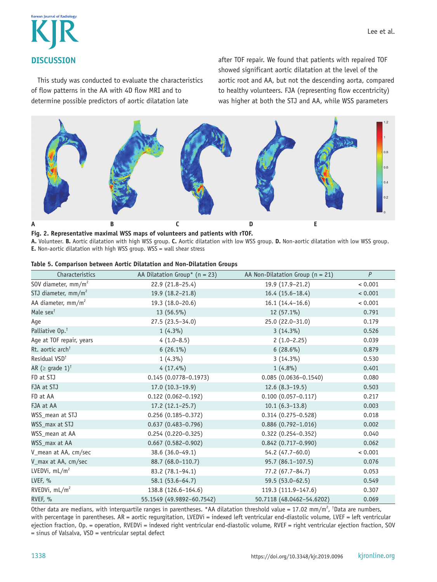

This study was conducted to evaluate the characteristics of flow patterns in the AA with 4D flow MRI and to determine possible predictors of aortic dilatation late

after TOF repair. We found that patients with repaired TOF showed significant aortic dilatation at the level of the aortic root and AA, but not the descending aorta, compared to healthy volunteers. FJA (representing flow eccentricity) was higher at both the STJ and AA, while WSS parameters



**Fig. 2. Representative maximal WSS maps of volunteers and patients with rTOF.**

**A.** Volunteer. **B.** Aortic dilatation with high WSS group. **C.** Aortic dilatation with low WSS group. **D.** Non-aortic dilatation with low WSS group. **E.** Non-aortic dilatation with high WSS group. WSS = wall shear stress

|  |  |  |  | Table 5. Comparison between Aortic Dilatation and Non-Dilatation Groups |  |
|--|--|--|--|-------------------------------------------------------------------------|--|
|--|--|--|--|-------------------------------------------------------------------------|--|

| Characteristics                  | AA Dilatation Group* ( $n = 23$ ) | AA Non-Dilatation Group ( $n = 21$ ) | $\boldsymbol{P}$ |
|----------------------------------|-----------------------------------|--------------------------------------|------------------|
| SOV diameter, $mm/m2$            | 22.9 (21.8-25.4)                  | 19.9 (17.9-21.2)                     | < 0.001          |
| STJ diameter, $mm/m2$            | 19.9 (18.2-21.8)                  | $16.4(15.6-18.4)$                    | < 0.001          |
| AA diameter, mm/m <sup>2</sup>   | 19.3 (18.0-20.6)                  | $16.1(14.4-16.6)$                    | < 0.001          |
| Male sex <sup>t</sup>            | 13 (56.5%)                        | 12 (57.1%)                           | 0.791            |
| Age                              | $27.5(23.5-34.0)$                 | 25.0 (22.0-31.0)                     | 0.179            |
| Palliative Op. <sup>†</sup>      | $1(4.3\%)$                        | $3(14.3\%)$                          | 0.526            |
| Age at TOF repair, years         | $4(1.0-8.5)$                      | $2(1.0-2.25)$                        | 0.039            |
| Rt. aortic arch <sup>†</sup>     | $6(26.1\%)$                       | $6(28.6\%)$                          | 0.879            |
| Residual VSD <sup>t</sup>        | $1(4.3\%)$                        | $3(14.3\%)$                          | 0.530            |
| AR ( $\ge$ grade 1) <sup>†</sup> | $4(17.4\%)$                       | $1(4.8\%)$                           | 0.401            |
| FD at STJ                        | $0.145(0.0778 - 0.1973)$          | $0.085(0.0636 - 0.1540)$             | 0.080            |
| FJA at STJ                       | $17.0(10.3-19.9)$                 | $12.6(8.3-19.5)$                     | 0.503            |
| FD at AA                         | $0.122(0.062 - 0.192)$            | $0.100(0.057 - 0.117)$               | 0.217            |
| FJA at AA                        | $17.2(12.1-25.7)$                 | $10.1(6.3-13.8)$                     | 0.003            |
| WSS_mean at STJ                  | $0.256(0.185 - 0.372)$            | $0.314(0.275 - 0.528)$               | 0.018            |
| WSS_max at STJ                   | $0.637(0.483 - 0.796)$            | $0.886(0.792 - 1.016)$               | 0.002            |
| WSS_mean at AA                   | $0.254(0.220 - 0.325)$            | $0.322(0.254 - 0.352)$               | 0.040            |
| WSS_max at AA                    | $0.667$ (0.582-0.902)             | $0.842(0.717 - 0.990)$               | 0.062            |
| V_mean at AA, cm/sec             | 38.6 (36.0-49.1)                  | 54.2 (47.7-60.0)                     | < 0.001          |
| V_max at AA, cm/sec              | 88.7 (68.0-110.7)                 | $95.7(86.1-107.5)$                   | 0.076            |
| LVEDVi, $mL/m^2$                 | 83.2 (78.1-94.1)                  | $77.2(67.7 - 84.7)$                  | 0.053            |
| LVEF, %                          | $58.1(53.6-64.7)$                 | 59.5 (53.0-62.5)                     | 0.549            |
| RVEDVi, mL/m <sup>2</sup>        | 138.8 (126.6-164.6)               | 119.3 (111.9-147.6)                  | 0.307            |
| RVEF, %                          | 55.1549 (49.9892-60.7542)         | 50.7118 (48.0462-54.6202)            | 0.069            |

Other data are medians, with interquartile ranges in parentheses. \*AA dilatation threshold value = 17.02 mm/m<sup>2</sup>, <sup>†</sup>Data are numbers, with percentage in parentheses. AR = aortic regurgitation, LVEDVi = indexed left ventricular end-diastolic volume, LVEF = left ventricular ejection fraction, Op. = operation, RVEDVi = indexed right ventricular end-diastolic volume, RVEF = right ventricular ejection fraction, SOV  $=$  sinus of Valsalva, VSD  $=$  ventricular septal defect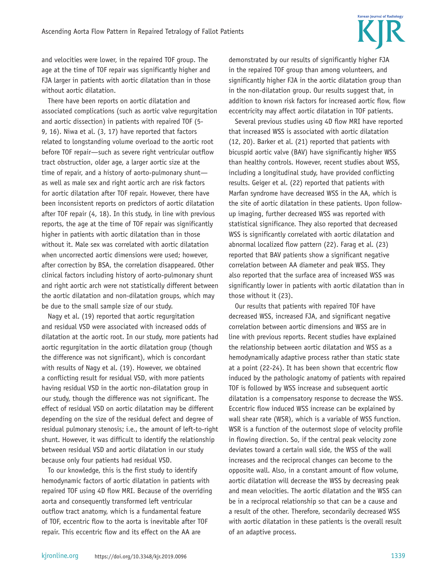# **Korean Journal of Radiology**

and velocities were lower, in the repaired TOF group. The age at the time of TOF repair was significantly higher and FJA larger in patients with aortic dilatation than in those without aortic dilatation.

There have been reports on aortic dilatation and associated complications (such as aortic valve regurgitation and aortic dissection) in patients with repaired TOF (5- 9, 16). Niwa et al. (3, 17) have reported that factors related to longstanding volume overload to the aortic root before TOF repair—such as severe right ventricular outflow tract obstruction, older age, a larger aortic size at the time of repair, and a history of aorto-pulmonary shunt as well as male sex and right aortic arch are risk factors for aortic dilatation after TOF repair. However, there have been inconsistent reports on predictors of aortic dilatation after TOF repair (4, 18). In this study, in line with previous reports, the age at the time of TOF repair was significantly higher in patients with aortic dilatation than in those without it. Male sex was correlated with aortic dilatation when uncorrected aortic dimensions were used; however, after correction by BSA, the correlation disappeared. Other clinical factors including history of aorto-pulmonary shunt and right aortic arch were not statistically different between the aortic dilatation and non-dilatation groups, which may be due to the small sample size of our study.

Nagy et al. (19) reported that aortic regurgitation and residual VSD were associated with increased odds of dilatation at the aortic root. In our study, more patients had aortic regurgitation in the aortic dilatation group (though the difference was not significant), which is concordant with results of Nagy et al. (19). However, we obtained a conflicting result for residual VSD, with more patients having residual VSD in the aortic non-dilatation group in our study, though the difference was not significant. The effect of residual VSD on aortic dilatation may be different depending on the size of the residual defect and degree of residual pulmonary stenosis; i.e., the amount of left-to-right shunt. However, it was difficult to identify the relationship between residual VSD and aortic dilatation in our study because only four patients had residual VSD.

To our knowledge, this is the first study to identify hemodynamic factors of aortic dilatation in patients with repaired TOF using 4D flow MRI. Because of the overriding aorta and consequently transformed left ventricular outflow tract anatomy, which is a fundamental feature of TOF, eccentric flow to the aorta is inevitable after TOF repair. This eccentric flow and its effect on the AA are

demonstrated by our results of significantly higher FJA in the repaired TOF group than among volunteers, and significantly higher FJA in the aortic dilatation group than in the non-dilatation group. Our results suggest that, in addition to known risk factors for increased aortic flow, flow eccentricity may affect aortic dilatation in TOF patients.

Several previous studies using 4D flow MRI have reported that increased WSS is associated with aortic dilatation (12, 20). Barker et al. (21) reported that patients with bicuspid aortic valve (BAV) have significantly higher WSS than healthy controls. However, recent studies about WSS, including a longitudinal study, have provided conflicting results. Geiger et al. (22) reported that patients with Marfan syndrome have decreased WSS in the AA, which is the site of aortic dilatation in these patients. Upon followup imaging, further decreased WSS was reported with statistical significance. They also reported that decreased WSS is significantly correlated with aortic dilatation and abnormal localized flow pattern (22). Farag et al. (23) reported that BAV patients show a significant negative correlation between AA diameter and peak WSS. They also reported that the surface area of increased WSS was significantly lower in patients with aortic dilatation than in those without it (23).

Our results that patients with repaired TOF have decreased WSS, increased FJA, and significant negative correlation between aortic dimensions and WSS are in line with previous reports. Recent studies have explained the relationship between aortic dilatation and WSS as a hemodynamically adaptive process rather than static state at a point (22-24). It has been shown that eccentric flow induced by the pathologic anatomy of patients with repaired TOF is followed by WSS increase and subsequent aortic dilatation is a compensatory response to decrease the WSS. Eccentric flow induced WSS increase can be explained by wall shear rate (WSR), which is a variable of WSS function. WSR is a function of the outermost slope of velocity profile in flowing direction. So, if the central peak velocity zone deviates toward a certain wall side, the WSS of the wall increases and the reciprocal changes can become to the opposite wall. Also, in a constant amount of flow volume, aortic dilatation will decrease the WSS by decreasing peak and mean velocities. The aortic dilatation and the WSS can be in a reciprocal relationship so that can be a cause and a result of the other. Therefore, secondarily decreased WSS with aortic dilatation in these patients is the overall result of an adaptive process.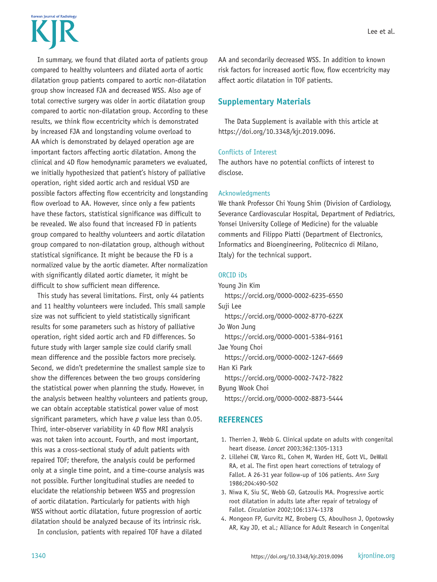# Korean Journal of Radiolom

In summary, we found that dilated aorta of patients group compared to healthy volunteers and dilated aorta of aortic dilatation group patients compared to aortic non-dilatation group show increased FJA and decreased WSS. Also age of total corrective surgery was older in aortic dilatation group compared to aortic non-dilatation group. According to these results, we think flow eccentricity which is demonstrated by increased FJA and longstanding volume overload to AA which is demonstrated by delayed operation age are important factors affecting aortic dilatation. Among the clinical and 4D flow hemodynamic parameters we evaluated, we initially hypothesized that patient's history of palliative operation, right sided aortic arch and residual VSD are possible factors affecting flow eccentricity and longstanding flow overload to AA. However, since only a few patients have these factors, statistical significance was difficult to be revealed. We also found that increased FD in patients group compared to healthy volunteers and aortic dilatation group compared to non-dilatation group, although without statistical significance. It might be because the FD is a normalized value by the aortic diameter. After normalization with significantly dilated aortic diameter, it might be difficult to show sufficient mean difference.

This study has several limitations. First, only 44 patients and 11 healthy volunteers were included. This small sample size was not sufficient to yield statistically significant results for some parameters such as history of palliative operation, right sided aortic arch and FD differences. So future study with larger sample size could clarify small mean difference and the possible factors more precisely. Second, we didn't predetermine the smallest sample size to show the differences between the two groups considering the statistical power when planning the study. However, in the analysis between healthy volunteers and patients group, we can obtain acceptable statistical power value of most significant parameters, which have *p* value less than 0.05. Third, inter-observer variability in 4D flow MRI analysis was not taken into account. Fourth, and most important, this was a cross-sectional study of adult patients with repaired TOF; therefore, the analysis could be performed only at a single time point, and a time-course analysis was not possible. Further longitudinal studies are needed to elucidate the relationship between WSS and progression of aortic dilatation. Particularly for patients with high WSS without aortic dilatation, future progression of aortic dilatation should be analyzed because of its intrinsic risk.

In conclusion, patients with repaired TOF have a dilated

AA and secondarily decreased WSS. In addition to known risk factors for increased aortic flow, flow eccentricity may affect aortic dilatation in TOF patients.

# **Supplementary Materials**

The Data Supplement is available with this article at https://doi.org/10.3348/kjr.2019.0096.

# Conflicts of Interest

The authors have no potential conflicts of interest to disclose.

## Acknowledgments

We thank Professor Chi Young Shim (Division of Cardiology, Severance Cardiovascular Hospital, Department of Pediatrics, Yonsei University College of Medicine) for the valuable comments and Filippo Piatti (Department of Electronics, Informatics and Bioengineering, Politecnico di Milano, Italy) for the technical support.

## ORCID iDs

```
Young Jin Kim
 https://orcid.org/0000-0002-6235-6550
Suji Lee
  https://orcid.org/0000-0002-8770-622X
Jo Won Jung
  https://orcid.org/0000-0001-5384-9161
Jae Young Choi
  https://orcid.org/0000-0002-1247-6669
Han Ki Park
  https://orcid.org/0000-0002-7472-7822
Byung Wook Choi
  https://orcid.org/0000-0002-8873-5444
```
# **REFERENCES**

- 1. Therrien J, Webb G. Clinical update on adults with congenital heart disease. *Lancet* 2003;362:1305-1313
- 2. Lillehei CW, Varco RL, Cohen M, Warden HE, Gott VL, DeWall RA, et al. The first open heart corrections of tetralogy of Fallot. A 26-31 year follow-up of 106 patients. *Ann Surg* 1986;204:490-502
- 3. Niwa K, Siu SC, Webb GD, Gatzoulis MA. Progressive aortic root dilatation in adults late after repair of tetralogy of Fallot. *Circulation* 2002;106:1374-1378
- 4. Mongeon FP, Gurvitz MZ, Broberg CS, Aboulhosn J, Opotowsky AR, Kay JD, et al.; Alliance for Adult Research in Congenital